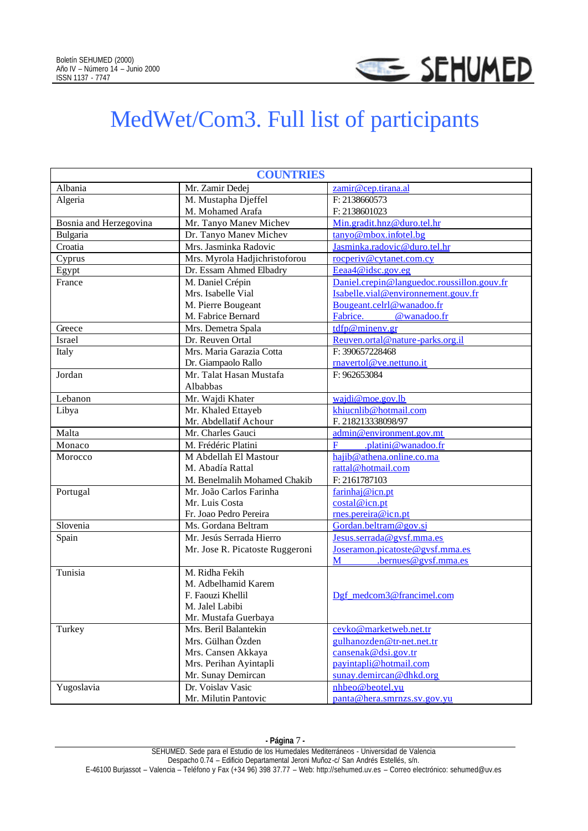

## MedWet/Com3. Full list of participants

| <b>COUNTRIES</b>       |                                            |                                            |  |
|------------------------|--------------------------------------------|--------------------------------------------|--|
| Albania                | Mr. Zamir Dedej                            | zamir@cep.tirana.al                        |  |
| Algeria                | M. Mustapha Djeffel                        | F: 2138660573                              |  |
|                        | M. Mohamed Arafa                           | F: 2138601023                              |  |
| Bosnia and Herzegovina | Mr. Tanyo Manev Michev                     | Min.gradit.hnz@duro.tel.hr                 |  |
| Bulgaria               | Dr. Tanyo Manev Michev                     | tanyo@mbox.infotel.bg                      |  |
| Croatia                | Mrs. Jasminka Radovic                      | Jasminka.radovic@duro.tel.hr               |  |
| Cyprus                 | Mrs. Myrola Hadjichristoforou              | rocperiv@cytanet.com.cy                    |  |
| Egypt                  | Dr. Essam Ahmed Elbadry                    | Eeaa4@idsc.gov.eg                          |  |
| France                 | M. Daniel Crépin                           | Daniel.crepin@languedoc.roussillon.gouv.fr |  |
|                        | Mrs. Isabelle Vial                         | Isabelle.vial@environnement.gouv.fr        |  |
|                        | M. Pierre Bougeant                         | Bougeant.celrl@wanadoo.fr                  |  |
|                        | M. Fabrice Bernard                         | Fabrice.<br>@wanadoo.fr                    |  |
| Greece                 | Mrs. Demetra Spala                         | tdfp@minenv.gr                             |  |
| Israel                 | Dr. Reuven Ortal                           | Reuven.ortal@nature-parks.org.il           |  |
| Italy                  | Mrs. Maria Garazia Cotta                   | F: 390657228468                            |  |
|                        | Dr. Giampaolo Rallo                        | rnavertol@ve.nettuno.it                    |  |
| Jordan                 | Mr. Talat Hasan Mustafa                    | F: 962653084                               |  |
|                        | Albabbas                                   |                                            |  |
| Lebanon                | Mr. Wajdi Khater                           | wajdi@moe.gov.lb                           |  |
| Libya                  | Mr. Khaled Ettayeb                         | khiucnlib@hotmail.com                      |  |
|                        | Mr. Abdellatif Achour                      | F. 218213338098/97                         |  |
| Malta                  | Mr. Charles Gauci                          | admin@environment.gov.mt                   |  |
| Monaco                 | M. Frédéric Platini                        | F<br>.platini@wanadoo.fr                   |  |
| Morocco                | M Abdellah El Mastour                      | hajib@athena.online.co.ma                  |  |
|                        | M. Abadía Rattal                           | rattal@hotmail.com                         |  |
|                        | M. Benelmalih Mohamed Chakib               | F: 2161787103                              |  |
| Portugal               | Mr. João Carlos Farinha                    | farinhaj@icn.pt                            |  |
|                        | Mr. Luis Costa                             | costal@icn.pt                              |  |
|                        | Fr. Joao Pedro Pereira                     | rnes.pereira@icn.pt                        |  |
| Slovenia               | Ms. Gordana Beltram                        | Gordan.beltram@gov.si                      |  |
| Spain                  | Mr. Jesús Serrada Hierro                   | Jesus.serrada@gysf.mma.es                  |  |
|                        | Mr. Jose R. Picatoste Ruggeroni            | Joseramon.picatoste@gysf.mma.es            |  |
|                        |                                            | $.$ bernues@gysf.mma.es<br>$\mathbf{M}$    |  |
| Tunisia                | M. Ridha Fekih                             |                                            |  |
|                        | M. Adbelhamid Karem                        |                                            |  |
|                        | F. Faouzi Khellil                          | Dgf medcom3@francimel.com                  |  |
|                        | M. Jalel Labibi                            |                                            |  |
|                        | Mr. Mustafa Guerbaya                       |                                            |  |
| Turkey                 | Mrs. Beril Balantekin<br>Mrs. Gülhan Özden | cevko@marketweb.net.tr                     |  |
|                        |                                            | gulhanozden@tr-net.net.tr                  |  |
|                        | Mrs. Cansen Akkaya                         | cansenak@disigov.tr                        |  |
|                        | Mrs. Perihan Ayintapli                     | payintapli@hotmail.com                     |  |
|                        | Mr. Sunay Demircan                         | sunay.demircan@dhkd.org                    |  |
| Yugoslavia             | Dr. Voislav Vasic                          | nhbeo@beotel.vu                            |  |
|                        | Mr. Milutin Pantovic                       | panta@hera.smrnzs.sv.gov.yu                |  |